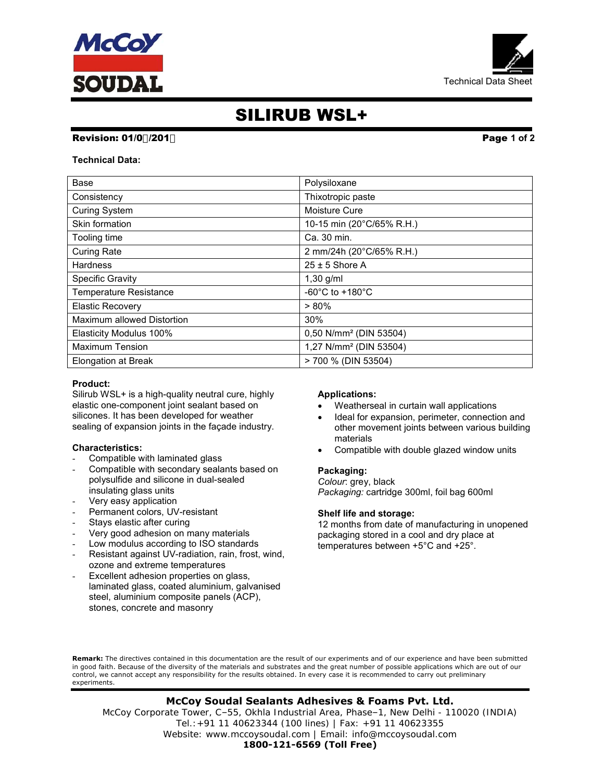



# SILIRUB WSL+

# Revision: 01/0%201\* Page 1 of 2

Technical Data:

| Base                          | Polysiloxane                          |
|-------------------------------|---------------------------------------|
| Consistency                   | Thixotropic paste                     |
| <b>Curing System</b>          | Moisture Cure                         |
| Skin formation                | 10-15 min (20°C/65% R.H.)             |
| Tooling time                  | Ca. 30 min.                           |
| <b>Curing Rate</b>            | 2 mm/24h (20°C/65% R.H.)              |
| <b>Hardness</b>               | $25 \pm 5$ Shore A                    |
| <b>Specific Gravity</b>       | $1,30$ g/ml                           |
| <b>Temperature Resistance</b> | -60 $^{\circ}$ C to +180 $^{\circ}$ C |
| <b>Elastic Recovery</b>       | $> 80\%$                              |
| Maximum allowed Distortion    | 30%                                   |
| Elasticity Modulus 100%       | 0,50 N/mm <sup>2</sup> (DIN 53504)    |
| <b>Maximum Tension</b>        | 1,27 N/mm <sup>2</sup> (DIN 53504)    |
| <b>Elongation at Break</b>    | > 700 % (DIN 53504)                   |

# Product:

Silirub WSL+ is a high-quality neutral cure, highly elastic one-component joint sealant based on silicones. It has been developed for weather sealing of expansion joints in the façade industry.

# Characteristics:

- Compatible with laminated glass
- Compatible with secondary sealants based on polysulfide and silicone in dual-sealed insulating glass units
- Very easy application
- Permanent colors, UV-resistant
- Stays elastic after curing
- Very good adhesion on many materials
- Low modulus according to ISO standards
- Resistant against UV-radiation, rain, frost, wind, ozone and extreme temperatures
- Excellent adhesion properties on glass, laminated glass, coated aluminium, galvanised steel, aluminium composite panels (ACP), stones, concrete and masonry

# Applications:

- Weatherseal in curtain wall applications
- Ideal for expansion, perimeter, connection and other movement joints between various building materials
- Compatible with double glazed window units

# Packaging:

Colour: grey, black Packaging: cartridge 300ml, foil bag 600ml

# Shelf life and storage:

12 months from date of manufacturing in unopened packaging stored in a cool and dry place at temperatures between +5°C and +25°.

Remark: The directives contained in this documentation are the result of our experiments and of our experience and have been submitted in good faith. Because of the diversity of the materials and substrates and the great number of possible applications which are out of our control, we cannot accept any responsibility for the results obtained. In every case it is recommended to carry out preliminary experiments.

# **McCoy Soudal Sealants Adhesives & Foams Pvt. Ltd.**

McCoy Corporate Tower, C–55, Okhla Industrial Area, Phase–1, New Delhi - 110020 (INDIA) Tel.:+91 11 40623344 (100 lines) | Fax: +91 11 40623355 Website: www.mccoysoudal.com | Email: info@mccoysoudal.com **1800-121-6569 (Toll Free)**